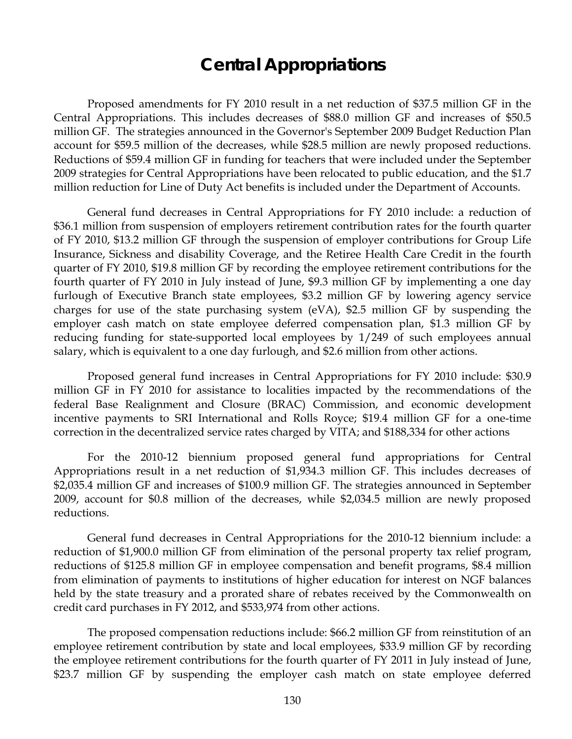# **Central Appropriations**

 Proposed amendments for FY 2010 result in a net reduction of \$37.5 million GF in the Central Appropriations. This includes decreases of \$88.0 million GF and increases of \$50.5 million GF. The strategies announced in the Governor's September 2009 Budget Reduction Plan account for \$59.5 million of the decreases, while \$28.5 million are newly proposed reductions. Reductions of \$59.4 million GF in funding for teachers that were included under the September 2009 strategies for Central Appropriations have been relocated to public education, and the \$1.7 million reduction for Line of Duty Act benefits is included under the Department of Accounts.

General fund decreases in Central Appropriations for FY 2010 include: a reduction of \$36.1 million from suspension of employers retirement contribution rates for the fourth quarter of FY 2010, \$13.2 million GF through the suspension of employer contributions for Group Life Insurance, Sickness and disability Coverage, and the Retiree Health Care Credit in the fourth quarter of FY 2010, \$19.8 million GF by recording the employee retirement contributions for the fourth quarter of FY 2010 in July instead of June, \$9.3 million GF by implementing a one day furlough of Executive Branch state employees, \$3.2 million GF by lowering agency service charges for use of the state purchasing system (eVA), \$2.5 million GF by suspending the employer cash match on state employee deferred compensation plan, \$1.3 million GF by reducing funding for state-supported local employees by 1/249 of such employees annual salary, which is equivalent to a one day furlough, and \$2.6 million from other actions.

Proposed general fund increases in Central Appropriations for FY 2010 include: \$30.9 million GF in FY 2010 for assistance to localities impacted by the recommendations of the federal Base Realignment and Closure (BRAC) Commission, and economic development incentive payments to SRI International and Rolls Royce; \$19.4 million GF for a one-time correction in the decentralized service rates charged by VITA; and \$188,334 for other actions

For the 2010-12 biennium proposed general fund appropriations for Central Appropriations result in a net reduction of \$1,934.3 million GF. This includes decreases of \$2,035.4 million GF and increases of \$100.9 million GF. The strategies announced in September 2009, account for \$0.8 million of the decreases, while \$2,034.5 million are newly proposed reductions.

General fund decreases in Central Appropriations for the 2010-12 biennium include: a reduction of \$1,900.0 million GF from elimination of the personal property tax relief program, reductions of \$125.8 million GF in employee compensation and benefit programs, \$8.4 million from elimination of payments to institutions of higher education for interest on NGF balances held by the state treasury and a prorated share of rebates received by the Commonwealth on credit card purchases in FY 2012, and \$533,974 from other actions.

The proposed compensation reductions include: \$66.2 million GF from reinstitution of an employee retirement contribution by state and local employees, \$33.9 million GF by recording the employee retirement contributions for the fourth quarter of FY 2011 in July instead of June, \$23.7 million GF by suspending the employer cash match on state employee deferred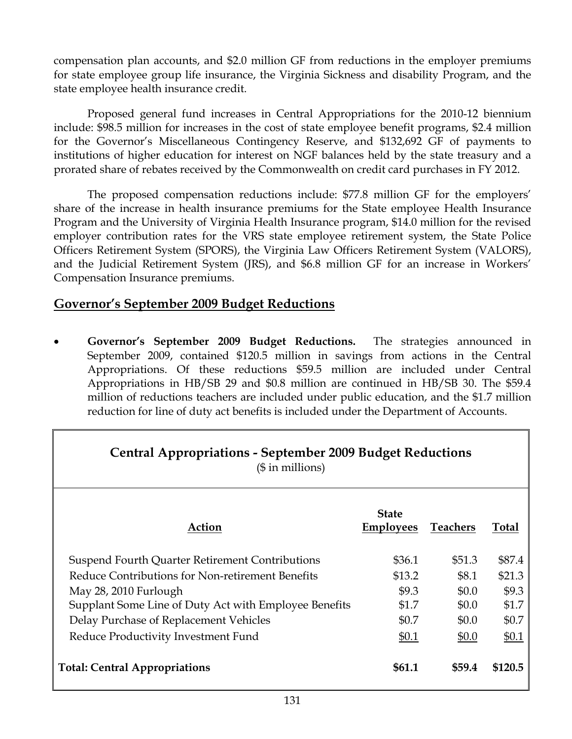compensation plan accounts, and \$2.0 million GF from reductions in the employer premiums for state employee group life insurance, the Virginia Sickness and disability Program, and the state employee health insurance credit.

Proposed general fund increases in Central Appropriations for the 2010-12 biennium include: \$98.5 million for increases in the cost of state employee benefit programs, \$2.4 million for the Governor's Miscellaneous Contingency Reserve, and \$132,692 GF of payments to institutions of higher education for interest on NGF balances held by the state treasury and a prorated share of rebates received by the Commonwealth on credit card purchases in FY 2012.

The proposed compensation reductions include: \$77.8 million GF for the employers' share of the increase in health insurance premiums for the State employee Health Insurance Program and the University of Virginia Health Insurance program, \$14.0 million for the revised employer contribution rates for the VRS state employee retirement system, the State Police Officers Retirement System (SPORS), the Virginia Law Officers Retirement System (VALORS), and the Judicial Retirement System (JRS), and \$6.8 million GF for an increase in Workers' Compensation Insurance premiums.

# **Governor's September 2009 Budget Reductions**

• **Governor's September 2009 Budget Reductions.** The strategies announced in September 2009, contained \$120.5 million in savings from actions in the Central Appropriations. Of these reductions \$59.5 million are included under Central Appropriations in HB/SB 29 and \$0.8 million are continued in HB/SB 30. The \$59.4 million of reductions teachers are included under public education, and the \$1.7 million reduction for line of duty act benefits is included under the Department of Accounts.

| <b>Central Appropriations - September 2009 Budget Reductions</b><br>$($$ in millions) |                                  |                 |              |  |  |  |  |
|---------------------------------------------------------------------------------------|----------------------------------|-----------------|--------------|--|--|--|--|
| Action                                                                                | <b>State</b><br><b>Employees</b> | <b>Teachers</b> | <b>Total</b> |  |  |  |  |
| Suspend Fourth Quarter Retirement Contributions                                       | \$36.1                           | \$51.3          | \$87.4       |  |  |  |  |
| Reduce Contributions for Non-retirement Benefits                                      | \$13.2                           | \$8.1           | \$21.3       |  |  |  |  |
| May 28, 2010 Furlough                                                                 | \$9.3                            | \$0.0           | \$9.3        |  |  |  |  |
| Supplant Some Line of Duty Act with Employee Benefits                                 | \$1.7                            | \$0.0           | \$1.7        |  |  |  |  |
| Delay Purchase of Replacement Vehicles                                                | \$0.7                            | \$0.0           | \$0.7        |  |  |  |  |
| Reduce Productivity Investment Fund                                                   | \$0.1                            | \$0.0           | \$0.1        |  |  |  |  |
| <b>Total: Central Appropriations</b>                                                  | \$61.1                           | \$59.4          | \$120.5      |  |  |  |  |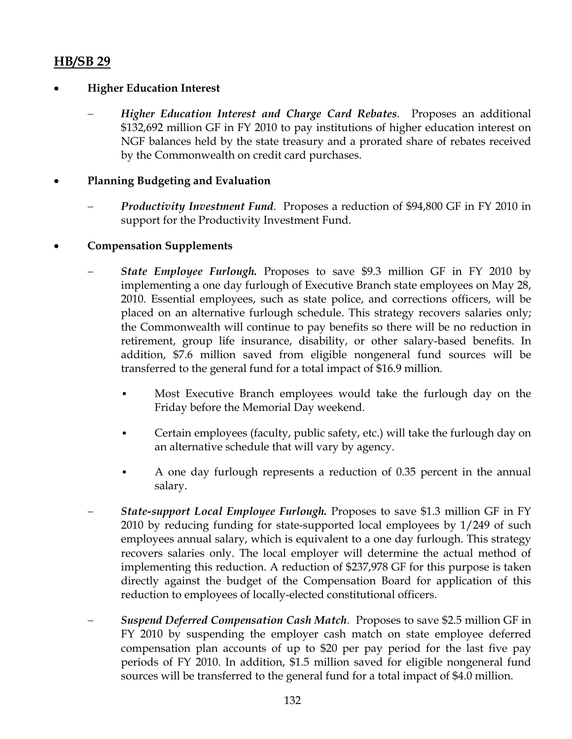# **HB/SB 29**

# • **Higher Education Interest**

− *Higher Education Interest and Charge Card Rebates*. Proposes an additional \$132,692 million GF in FY 2010 to pay institutions of higher education interest on NGF balances held by the state treasury and a prorated share of rebates received by the Commonwealth on credit card purchases.

#### • **Planning Budgeting and Evaluation**

- *Productivity Investment Fund.* Proposes a reduction of \$94,800 GF in FY 2010 in support for the Productivity Investment Fund.
- **Compensation Supplements** 
	- *State Employee Furlough.* Proposes to save \$9.3 million GF in FY 2010 by implementing a one day furlough of Executive Branch state employees on May 28, 2010. Essential employees, such as state police, and corrections officers, will be placed on an alternative furlough schedule. This strategy recovers salaries only; the Commonwealth will continue to pay benefits so there will be no reduction in retirement, group life insurance, disability, or other salary-based benefits. In addition, \$7.6 million saved from eligible nongeneral fund sources will be transferred to the general fund for a total impact of \$16.9 million.
		- Most Executive Branch employees would take the furlough day on the Friday before the Memorial Day weekend.
		- Certain employees (faculty, public safety, etc.) will take the furlough day on an alternative schedule that will vary by agency.
		- A one day furlough represents a reduction of 0.35 percent in the annual salary.
	- − *State-support Local Employee Furlough.* Proposes to save \$1.3 million GF in FY 2010 by reducing funding for state-supported local employees by 1/249 of such employees annual salary, which is equivalent to a one day furlough. This strategy recovers salaries only. The local employer will determine the actual method of implementing this reduction. A reduction of \$237,978 GF for this purpose is taken directly against the budget of the Compensation Board for application of this reduction to employees of locally-elected constitutional officers.
	- − *Suspend Deferred Compensation Cash Match*. Proposes to save \$2.5 million GF in FY 2010 by suspending the employer cash match on state employee deferred compensation plan accounts of up to \$20 per pay period for the last five pay periods of FY 2010. In addition, \$1.5 million saved for eligible nongeneral fund sources will be transferred to the general fund for a total impact of \$4.0 million.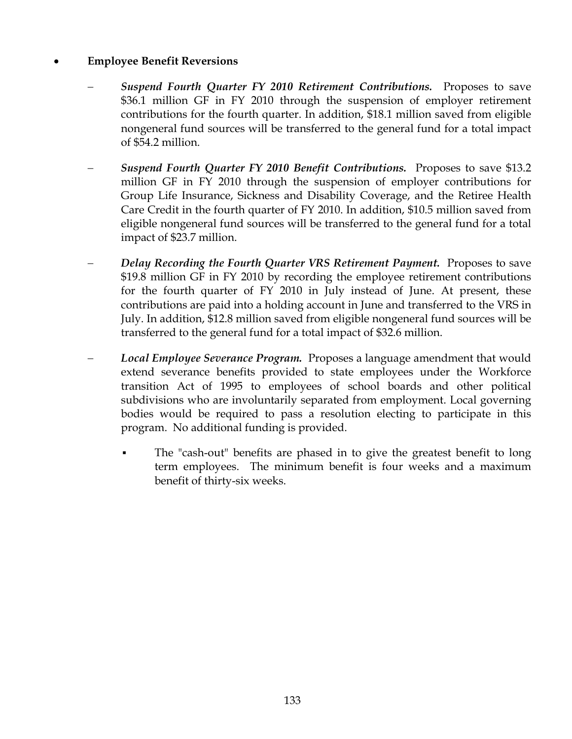#### • **Employee Benefit Reversions**

- − *Suspend Fourth Quarter FY 2010 Retirement Contributions.* Proposes to save \$36.1 million GF in FY 2010 through the suspension of employer retirement contributions for the fourth quarter. In addition, \$18.1 million saved from eligible nongeneral fund sources will be transferred to the general fund for a total impact of \$54.2 million.
- *Suspend Fourth Quarter FY 2010 Benefit Contributions.* Proposes to save \$13.2 million GF in FY 2010 through the suspension of employer contributions for Group Life Insurance, Sickness and Disability Coverage, and the Retiree Health Care Credit in the fourth quarter of FY 2010. In addition, \$10.5 million saved from eligible nongeneral fund sources will be transferred to the general fund for a total impact of \$23.7 million.
- *Delay Recording the Fourth Quarter VRS Retirement Payment.* Proposes to save \$19.8 million GF in FY 2010 by recording the employee retirement contributions for the fourth quarter of FY 2010 in July instead of June. At present, these contributions are paid into a holding account in June and transferred to the VRS in July. In addition, \$12.8 million saved from eligible nongeneral fund sources will be transferred to the general fund for a total impact of \$32.6 million.
- − *Local Employee Severance Program.* Proposes a language amendment that would extend severance benefits provided to state employees under the Workforce transition Act of 1995 to employees of school boards and other political subdivisions who are involuntarily separated from employment. Local governing bodies would be required to pass a resolution electing to participate in this program. No additional funding is provided.
	- The "cash-out" benefits are phased in to give the greatest benefit to long term employees. The minimum benefit is four weeks and a maximum benefit of thirty-six weeks.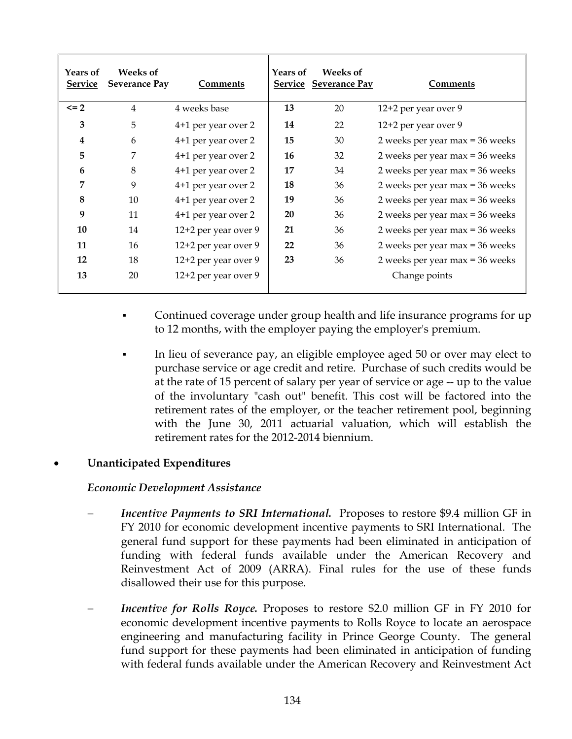| <b>Years of</b><br>Service | <b>Weeks of</b><br><b>Severance Pay</b> | <b>Comments</b>      | Years of  | Weeks of<br><b>Service Severance Pay</b> | <b>Comments</b>                   |
|----------------------------|-----------------------------------------|----------------------|-----------|------------------------------------------|-----------------------------------|
| $\leq$ 2                   | $\overline{4}$                          | 4 weeks base         | 13        | 20                                       | 12+2 per year over 9              |
| 3                          | 5                                       | 4+1 per year over 2  | 14        | 22                                       | 12+2 per year over 9              |
| $\boldsymbol{4}$           | 6                                       | 4+1 per year over 2  | 15        | 30                                       | 2 weeks per year max = 36 weeks   |
| 5                          | 7                                       | 4+1 per year over 2  | 16        | 32                                       | 2 weeks per year max = $36$ weeks |
| 6                          | 8                                       | 4+1 per year over 2  | 17        | 34                                       | 2 weeks per year max = 36 weeks   |
| $\overline{7}$             | 9                                       | 4+1 per year over 2  | 18        | 36                                       | 2 weeks per year max = 36 weeks   |
| 8                          | 10                                      | 4+1 per year over 2  | 19        | 36                                       | 2 weeks per year max = 36 weeks   |
| 9                          | 11                                      | 4+1 per year over 2  | <b>20</b> | 36                                       | 2 weeks per year max = 36 weeks   |
| 10                         | 14                                      | 12+2 per year over 9 | 21        | 36                                       | 2 weeks per year max = 36 weeks   |
| 11                         | 16                                      | 12+2 per year over 9 | 22        | 36                                       | 2 weeks per year max = 36 weeks   |
| 12                         | 18                                      | 12+2 per year over 9 | 23        | 36                                       | 2 weeks per year max = 36 weeks   |
| 13                         | 20                                      | 12+2 per year over 9 |           |                                          | Change points                     |

- Continued coverage under group health and life insurance programs for up to 12 months, with the employer paying the employer's premium.
- In lieu of severance pay, an eligible employee aged 50 or over may elect to purchase service or age credit and retire. Purchase of such credits would be at the rate of 15 percent of salary per year of service or age -- up to the value of the involuntary "cash out" benefit. This cost will be factored into the retirement rates of the employer, or the teacher retirement pool, beginning with the June 30, 2011 actuarial valuation, which will establish the retirement rates for the 2012-2014 biennium.

# • **Unanticipated Expenditures**

#### *Economic Development Assistance*

- *Incentive Payments to SRI International.* Proposes to restore \$9.4 million GF in FY 2010 for economic development incentive payments to SRI International. The general fund support for these payments had been eliminated in anticipation of funding with federal funds available under the American Recovery and Reinvestment Act of 2009 (ARRA). Final rules for the use of these funds disallowed their use for this purpose.
- *Incentive for Rolls Royce.* Proposes to restore \$2.0 million GF in FY 2010 for economic development incentive payments to Rolls Royce to locate an aerospace engineering and manufacturing facility in Prince George County. The general fund support for these payments had been eliminated in anticipation of funding with federal funds available under the American Recovery and Reinvestment Act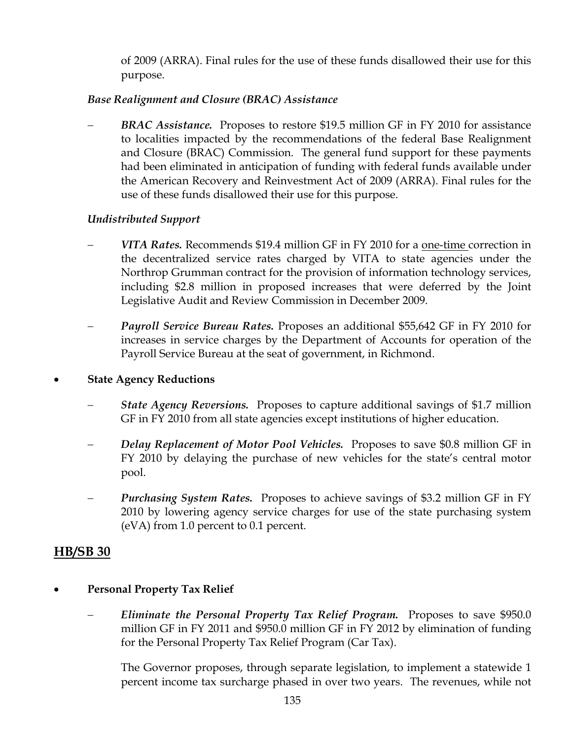of 2009 (ARRA). Final rules for the use of these funds disallowed their use for this purpose.

# *Base Realignment and Closure (BRAC) Assistance*

**BRAC** Assistance. Proposes to restore \$19.5 million GF in FY 2010 for assistance to localities impacted by the recommendations of the federal Base Realignment and Closure (BRAC) Commission. The general fund support for these payments had been eliminated in anticipation of funding with federal funds available under the American Recovery and Reinvestment Act of 2009 (ARRA). Final rules for the use of these funds disallowed their use for this purpose.

# *Undistributed Support*

- − *VITA Rates.* Recommends \$19.4 million GF in FY 2010 for a one-time correction in the decentralized service rates charged by VITA to state agencies under the Northrop Grumman contract for the provision of information technology services, including \$2.8 million in proposed increases that were deferred by the Joint Legislative Audit and Review Commission in December 2009.
- − *Payroll Service Bureau Rates.* Proposes an additional \$55,642 GF in FY 2010 for increases in service charges by the Department of Accounts for operation of the Payroll Service Bureau at the seat of government, in Richmond.

#### • **State Agency Reductions**

- *State Agency Reversions.* Proposes to capture additional savings of \$1.7 million GF in FY 2010 from all state agencies except institutions of higher education.
- − *Delay Replacement of Motor Pool Vehicles.* Proposes to save \$0.8 million GF in FY 2010 by delaying the purchase of new vehicles for the state's central motor pool.
- *Purchasing System Rates.* Proposes to achieve savings of \$3.2 million GF in FY 2010 by lowering agency service charges for use of the state purchasing system (eVA) from 1.0 percent to 0.1 percent.

# **HB/SB 30**

#### • **Personal Property Tax Relief**

− *Eliminate the Personal Property Tax Relief Program.* Proposes to save \$950.0 million GF in FY 2011 and \$950.0 million GF in FY 2012 by elimination of funding for the Personal Property Tax Relief Program (Car Tax).

The Governor proposes, through separate legislation, to implement a statewide 1 percent income tax surcharge phased in over two years. The revenues, while not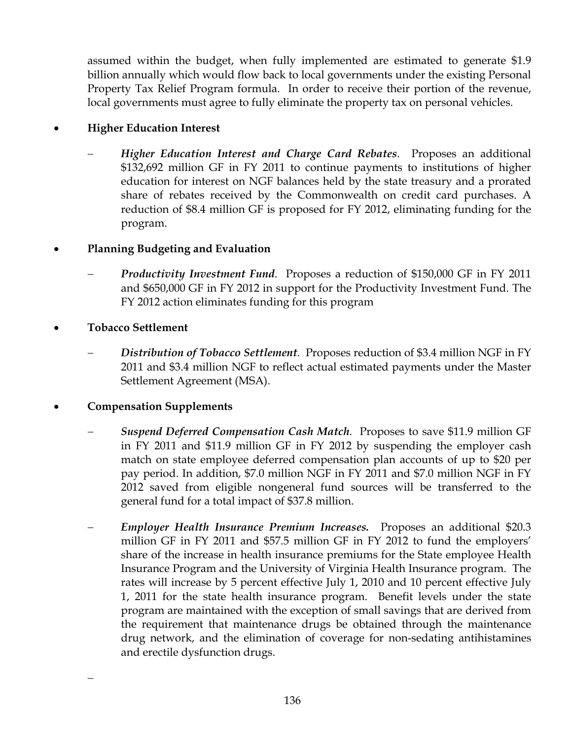assumed within the budget, when fully implemented are estimated to generate \$1.9 billion annually which would flow back to local governments under the existing Personal Property Tax Relief Program formula. In order to receive their portion of the revenue, local governments must agree to fully eliminate the property tax on personal vehicles.

# • **Higher Education Interest**

− *Higher Education Interest and Charge Card Rebates*. Proposes an additional \$132,692 million GF in FY 2011 to continue payments to institutions of higher education for interest on NGF balances held by the state treasury and a prorated share of rebates received by the Commonwealth on credit card purchases. A reduction of \$8.4 million GF is proposed for FY 2012, eliminating funding for the program.

# • **Planning Budgeting and Evaluation**

- *Productivity Investment Fund.* Proposes a reduction of \$150,000 GF in FY 2011 and \$650,000 GF in FY 2012 in support for the Productivity Investment Fund. The FY 2012 action eliminates funding for this program
- **Tobacco Settlement**

−

− *Distribution of Tobacco Settlement*. Proposes reduction of \$3.4 million NGF in FY 2011 and \$3.4 million NGF to reflect actual estimated payments under the Master Settlement Agreement (MSA).

#### • **Compensation Supplements**

- − *Suspend Deferred Compensation Cash Match*. Proposes to save \$11.9 million GF in FY 2011 and \$11.9 million GF in FY 2012 by suspending the employer cash match on state employee deferred compensation plan accounts of up to \$20 per pay period. In addition, \$7.0 million NGF in FY 2011 and \$7.0 million NGF in FY 2012 saved from eligible nongeneral fund sources will be transferred to the general fund for a total impact of \$37.8 million.
- − *Employer Health Insurance Premium Increases.* Proposes an additional \$20.3 million GF in FY 2011 and \$57.5 million GF in FY 2012 to fund the employers' share of the increase in health insurance premiums for the State employee Health Insurance Program and the University of Virginia Health Insurance program. The rates will increase by 5 percent effective July 1, 2010 and 10 percent effective July 1, 2011 for the state health insurance program. Benefit levels under the state program are maintained with the exception of small savings that are derived from the requirement that maintenance drugs be obtained through the maintenance drug network, and the elimination of coverage for non-sedating antihistamines and erectile dysfunction drugs.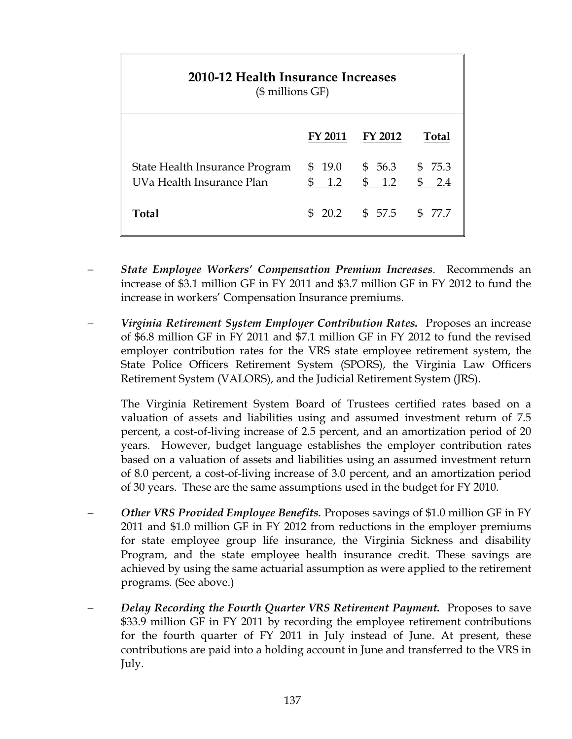| 2010-12 Health Insurance Increases<br>$($$ millions $GF)$   |                  |                         |         |  |  |
|-------------------------------------------------------------|------------------|-------------------------|---------|--|--|
|                                                             | <b>FY 2011</b>   | <b>FY 2012</b>          | Total   |  |  |
| State Health Insurance Program<br>UVa Health Insurance Plan | \$19.0<br>\$ 1.2 | \$56.3\$575.3<br>\$ 1.2 | \$ 2.4  |  |  |
| Total                                                       |                  | $$20.2$ $$57.5$         | \$ 77.7 |  |  |

- − *State Employee Workers' Compensation Premium Increases*. Recommends an increase of \$3.1 million GF in FY 2011 and \$3.7 million GF in FY 2012 to fund the increase in workers' Compensation Insurance premiums.
- − *Virginia Retirement System Employer Contribution Rates.* Proposes an increase of \$6.8 million GF in FY 2011 and \$7.1 million GF in FY 2012 to fund the revised employer contribution rates for the VRS state employee retirement system, the State Police Officers Retirement System (SPORS), the Virginia Law Officers Retirement System (VALORS), and the Judicial Retirement System (JRS).

The Virginia Retirement System Board of Trustees certified rates based on a valuation of assets and liabilities using and assumed investment return of 7.5 percent, a cost-of-living increase of 2.5 percent, and an amortization period of 20 years. However, budget language establishes the employer contribution rates based on a valuation of assets and liabilities using an assumed investment return of 8.0 percent, a cost-of-living increase of 3.0 percent, and an amortization period of 30 years. These are the same assumptions used in the budget for FY 2010.

- − *Other VRS Provided Employee Benefits.* Proposes savings of \$1.0 million GF in FY 2011 and \$1.0 million GF in FY 2012 from reductions in the employer premiums for state employee group life insurance, the Virginia Sickness and disability Program, and the state employee health insurance credit. These savings are achieved by using the same actuarial assumption as were applied to the retirement programs. (See above.)
- *Delay Recording the Fourth Quarter VRS Retirement Payment.* **Proposes to save** \$33.9 million GF in FY 2011 by recording the employee retirement contributions for the fourth quarter of FY 2011 in July instead of June. At present, these contributions are paid into a holding account in June and transferred to the VRS in July.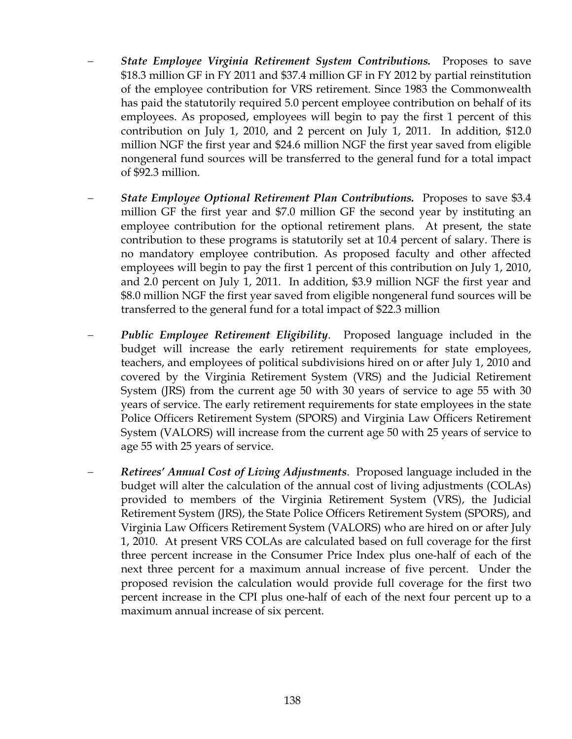- *State Employee Virginia Retirement System Contributions.* Proposes to save \$18.3 million GF in FY 2011 and \$37.4 million GF in FY 2012 by partial reinstitution of the employee contribution for VRS retirement. Since 1983 the Commonwealth has paid the statutorily required 5.0 percent employee contribution on behalf of its employees. As proposed, employees will begin to pay the first 1 percent of this contribution on July 1, 2010, and 2 percent on July 1, 2011.In addition, \$12.0 million NGF the first year and \$24.6 million NGF the first year saved from eligible nongeneral fund sources will be transferred to the general fund for a total impact of \$92.3 million.
- − *State Employee Optional Retirement Plan Contributions.* Proposes to save \$3.4 million GF the first year and \$7.0 million GF the second year by instituting an employee contribution for the optional retirement plans. At present, the state contribution to these programs is statutorily set at 10.4 percent of salary. There is no mandatory employee contribution. As proposed faculty and other affected employees will begin to pay the first 1 percent of this contribution on July 1, 2010, and 2.0 percent on July 1, 2011. In addition, \$3.9 million NGF the first year and \$8.0 million NGF the first year saved from eligible nongeneral fund sources will be transferred to the general fund for a total impact of \$22.3 million
- *Public Employee Retirement Eligibility*. Proposed language included in the budget will increase the early retirement requirements for state employees, teachers, and employees of political subdivisions hired on or after July 1, 2010 and covered by the Virginia Retirement System (VRS) and the Judicial Retirement System (JRS) from the current age 50 with 30 years of service to age 55 with 30 years of service. The early retirement requirements for state employees in the state Police Officers Retirement System (SPORS) and Virginia Law Officers Retirement System (VALORS) will increase from the current age 50 with 25 years of service to age 55 with 25 years of service.
- − *Retirees' Annual Cost of Living Adjustments*. Proposed language included in the budget will alter the calculation of the annual cost of living adjustments (COLAs) provided to members of the Virginia Retirement System (VRS), the Judicial Retirement System (JRS), the State Police Officers Retirement System (SPORS), and Virginia Law Officers Retirement System (VALORS) who are hired on or after July 1, 2010. At present VRS COLAs are calculated based on full coverage for the first three percent increase in the Consumer Price Index plus one-half of each of the next three percent for a maximum annual increase of five percent. Under the proposed revision the calculation would provide full coverage for the first two percent increase in the CPI plus one-half of each of the next four percent up to a maximum annual increase of six percent.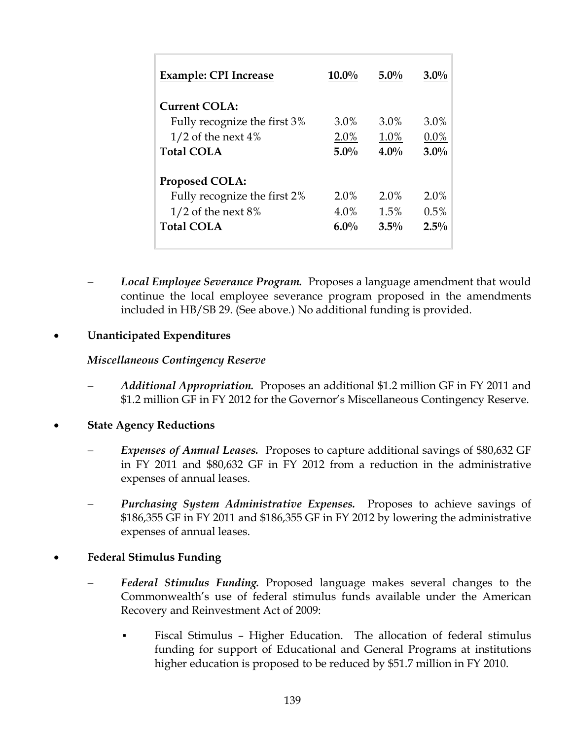| <b>Example: CPI Increase</b> | $10.0\%$ | $5.0\%$ | $3.0\%$ |
|------------------------------|----------|---------|---------|
| <b>Current COLA:</b>         |          |         |         |
| Fully recognize the first 3% | 3.0%     | $3.0\%$ | 3.0%    |
| $1/2$ of the next 4%         | 2.0%     | 1.0%    | 0.0%    |
| <b>Total COLA</b>            | $5.0\%$  | $4.0\%$ | $3.0\%$ |
| <b>Proposed COLA:</b>        |          |         |         |
| Fully recognize the first 2% | $2.0\%$  | $2.0\%$ | 2.0%    |
| $1/2$ of the next 8%         | 4.0%     | 1.5%    | 0.5%    |
| <b>Total COLA</b>            | $6.0\%$  | $3.5\%$ | $2.5\%$ |
|                              |          |         |         |

− *Local Employee Severance Program.* Proposes a language amendment that would continue the local employee severance program proposed in the amendments included in HB/SB 29. (See above.) No additional funding is provided.

# • **Unanticipated Expenditures**

#### *Miscellaneous Contingency Reserve*

- − *Additional Appropriation.* Proposes an additional \$1.2 million GF in FY 2011 and \$1.2 million GF in FY 2012 for the Governor's Miscellaneous Contingency Reserve.
- **State Agency Reductions** 
	- *Expenses of Annual Leases.* Proposes to capture additional savings of \$80,632 GF in FY 2011 and \$80,632 GF in FY 2012 from a reduction in the administrative expenses of annual leases.
	- **Purchasing System Administrative Expenses.** Proposes to achieve savings of \$186,355 GF in FY 2011 and \$186,355 GF in FY 2012 by lowering the administrative expenses of annual leases.

# • **Federal Stimulus Funding**

- Federal Stimulus Funding. Proposed language makes several changes to the Commonwealth's use of federal stimulus funds available under the American Recovery and Reinvestment Act of 2009:
	- Fiscal Stimulus Higher Education. The allocation of federal stimulus funding for support of Educational and General Programs at institutions higher education is proposed to be reduced by \$51.7 million in FY 2010.